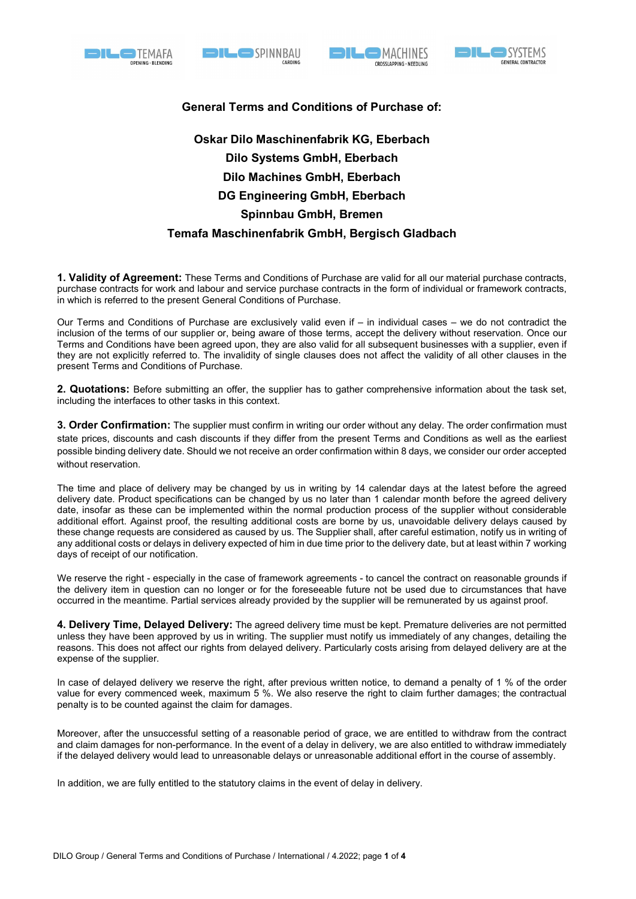







## General Terms and Conditions of Purchase of:

## Oskar Dilo Maschinenfabrik KG, Eberbach Dilo Systems GmbH, Eberbach Dilo Machines GmbH, Eberbach DG Engineering GmbH, Eberbach Spinnbau GmbH, Bremen Temafa Maschinenfabrik GmbH, Bergisch Gladbach

1. Validity of Agreement: These Terms and Conditions of Purchase are valid for all our material purchase contracts, purchase contracts for work and labour and service purchase contracts in the form of individual or framework contracts, in which is referred to the present General Conditions of Purchase.

Our Terms and Conditions of Purchase are exclusively valid even if – in individual cases – we do not contradict the inclusion of the terms of our supplier or, being aware of those terms, accept the delivery without reservation. Once our Terms and Conditions have been agreed upon, they are also valid for all subsequent businesses with a supplier, even if they are not explicitly referred to. The invalidity of single clauses does not affect the validity of all other clauses in the present Terms and Conditions of Purchase.

2. Quotations: Before submitting an offer, the supplier has to gather comprehensive information about the task set, including the interfaces to other tasks in this context.

3. Order Confirmation: The supplier must confirm in writing our order without any delay. The order confirmation must state prices, discounts and cash discounts if they differ from the present Terms and Conditions as well as the earliest possible binding delivery date. Should we not receive an order confirmation within 8 days, we consider our order accepted without reservation.

The time and place of delivery may be changed by us in writing by 14 calendar days at the latest before the agreed delivery date. Product specifications can be changed by us no later than 1 calendar month before the agreed delivery date, insofar as these can be implemented within the normal production process of the supplier without considerable additional effort. Against proof, the resulting additional costs are borne by us, unavoidable delivery delays caused by these change requests are considered as caused by us. The Supplier shall, after careful estimation, notify us in writing of any additional costs or delays in delivery expected of him in due time prior to the delivery date, but at least within 7 working days of receipt of our notification.

We reserve the right - especially in the case of framework agreements - to cancel the contract on reasonable grounds if the delivery item in question can no longer or for the foreseeable future not be used due to circumstances that have occurred in the meantime. Partial services already provided by the supplier will be remunerated by us against proof.

4. Delivery Time, Delayed Delivery: The agreed delivery time must be kept. Premature deliveries are not permitted unless they have been approved by us in writing. The supplier must notify us immediately of any changes, detailing the reasons. This does not affect our rights from delayed delivery. Particularly costs arising from delayed delivery are at the expense of the supplier.

In case of delayed delivery we reserve the right, after previous written notice, to demand a penalty of 1 % of the order value for every commenced week, maximum 5 %. We also reserve the right to claim further damages; the contractual penalty is to be counted against the claim for damages.

Moreover, after the unsuccessful setting of a reasonable period of grace, we are entitled to withdraw from the contract and claim damages for non-performance. In the event of a delay in delivery, we are also entitled to withdraw immediately if the delayed delivery would lead to unreasonable delays or unreasonable additional effort in the course of assembly.

In addition, we are fully entitled to the statutory claims in the event of delay in delivery.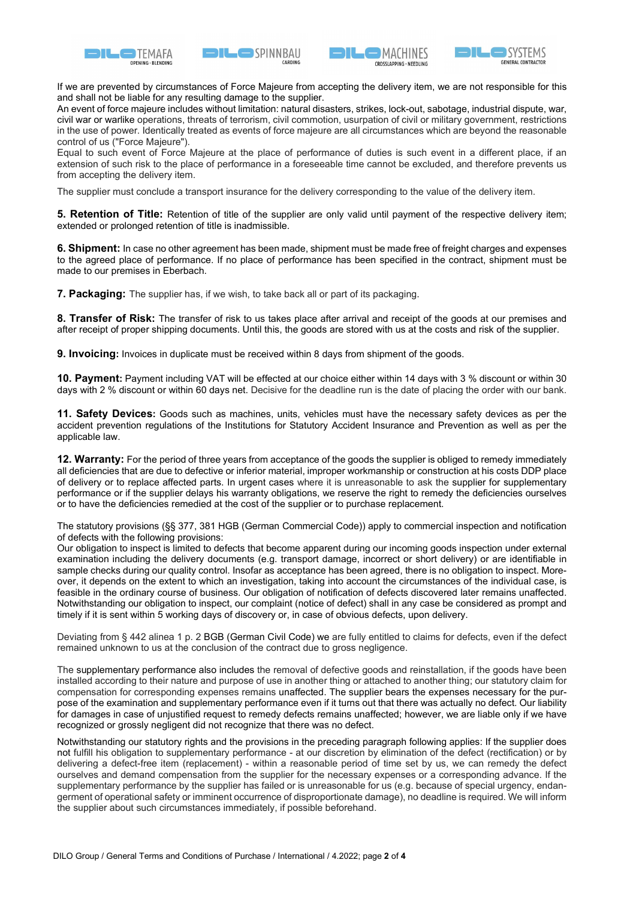







If we are prevented by circumstances of Force Majeure from accepting the delivery item, we are not responsible for this and shall not be liable for any resulting damage to the supplier.

An event of force majeure includes without limitation: natural disasters, strikes, lock-out, sabotage, industrial dispute, war, civil war or warlike operations, threats of terrorism, civil commotion, usurpation of civil or military government, restrictions in the use of power. Identically treated as events of force majeure are all circumstances which are beyond the reasonable control of us ("Force Majeure").

Equal to such event of Force Majeure at the place of performance of duties is such event in a different place, if an extension of such risk to the place of performance in a foreseeable time cannot be excluded, and therefore prevents us from accepting the delivery item.

The supplier must conclude a transport insurance for the delivery corresponding to the value of the delivery item.

5. Retention of Title: Retention of title of the supplier are only valid until payment of the respective delivery item; extended or prolonged retention of title is inadmissible.

6. Shipment: In case no other agreement has been made, shipment must be made free of freight charges and expenses to the agreed place of performance. If no place of performance has been specified in the contract, shipment must be made to our premises in Eberbach.

**7. Packaging:** The supplier has, if we wish, to take back all or part of its packaging.

8. Transfer of Risk: The transfer of risk to us takes place after arrival and receipt of the goods at our premises and after receipt of proper shipping documents. Until this, the goods are stored with us at the costs and risk of the supplier.

**9. Invoicing:** Invoices in duplicate must be received within 8 days from shipment of the goods.

10. Payment: Payment including VAT will be effected at our choice either within 14 days with 3 % discount or within 30 days with 2 % discount or within 60 days net. Decisive for the deadline run is the date of placing the order with our bank.

11. Safety Devices: Goods such as machines, units, vehicles must have the necessary safety devices as per the accident prevention regulations of the Institutions for Statutory Accident Insurance and Prevention as well as per the applicable law.

12. Warranty: For the period of three years from acceptance of the goods the supplier is obliged to remedy immediately all deficiencies that are due to defective or inferior material, improper workmanship or construction at his costs DDP place of delivery or to replace affected parts. In urgent cases where it is unreasonable to ask the supplier for supplementary performance or if the supplier delays his warranty obligations, we reserve the right to remedy the deficiencies ourselves or to have the deficiencies remedied at the cost of the supplier or to purchase replacement.

The statutory provisions (§§ 377, 381 HGB (German Commercial Code)) apply to commercial inspection and notification of defects with the following provisions:

Our obligation to inspect is limited to defects that become apparent during our incoming goods inspection under external examination including the delivery documents (e.g. transport damage, incorrect or short delivery) or are identifiable in sample checks during our quality control. Insofar as acceptance has been agreed, there is no obligation to inspect. Moreover, it depends on the extent to which an investigation, taking into account the circumstances of the individual case, is feasible in the ordinary course of business. Our obligation of notification of defects discovered later remains unaffected. Notwithstanding our obligation to inspect, our complaint (notice of defect) shall in any case be considered as prompt and timely if it is sent within 5 working days of discovery or, in case of obvious defects, upon delivery.

Deviating from § 442 alinea 1 p. 2 BGB (German Civil Code) we are fully entitled to claims for defects, even if the defect remained unknown to us at the conclusion of the contract due to gross negligence.

The supplementary performance also includes the removal of defective goods and reinstallation, if the goods have been installed according to their nature and purpose of use in another thing or attached to another thing; our statutory claim for compensation for corresponding expenses remains unaffected. The supplier bears the expenses necessary for the purpose of the examination and supplementary performance even if it turns out that there was actually no defect. Our liability for damages in case of unjustified request to remedy defects remains unaffected; however, we are liable only if we have recognized or grossly negligent did not recognize that there was no defect.

Notwithstanding our statutory rights and the provisions in the preceding paragraph following applies: If the supplier does not fulfill his obligation to supplementary performance - at our discretion by elimination of the defect (rectification) or by delivering a defect-free item (replacement) - within a reasonable period of time set by us, we can remedy the defect ourselves and demand compensation from the supplier for the necessary expenses or a corresponding advance. If the supplementary performance by the supplier has failed or is unreasonable for us (e.g. because of special urgency, endangerment of operational safety or imminent occurrence of disproportionate damage), no deadline is required. We will inform the supplier about such circumstances immediately, if possible beforehand.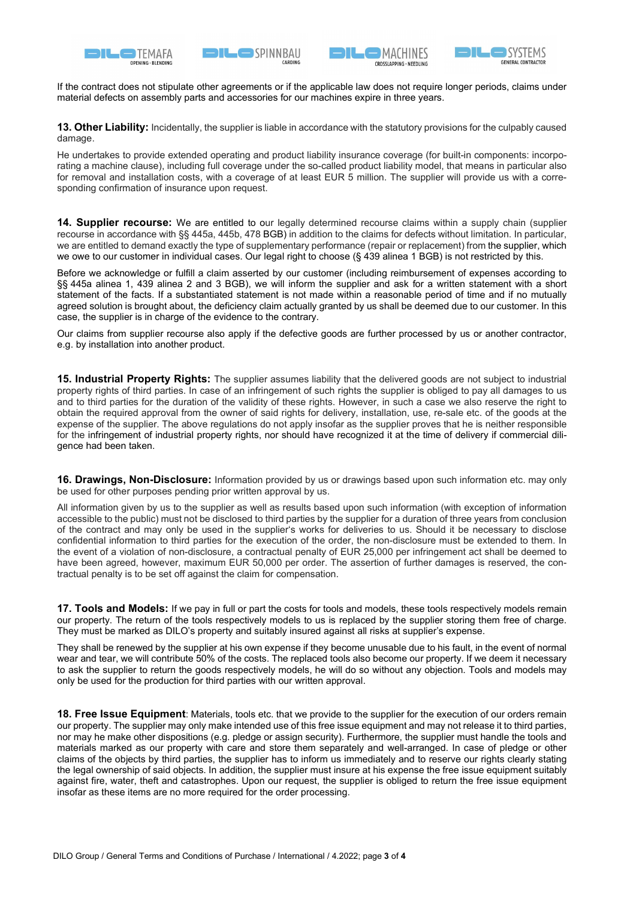







If the contract does not stipulate other agreements or if the applicable law does not require longer periods, claims under material defects on assembly parts and accessories for our machines expire in three years.

13. Other Liability: Incidentally, the supplier is liable in accordance with the statutory provisions for the culpably caused damage.

He undertakes to provide extended operating and product liability insurance coverage (for built-in components: incorporating a machine clause), including full coverage under the so-called product liability model, that means in particular also for removal and installation costs, with a coverage of at least EUR 5 million. The supplier will provide us with a corresponding confirmation of insurance upon request.

14. Supplier recourse: We are entitled to our legally determined recourse claims within a supply chain (supplier recourse in accordance with §§ 445a, 445b, 478 BGB) in addition to the claims for defects without limitation. In particular, we are entitled to demand exactly the type of supplementary performance (repair or replacement) from the supplier, which we owe to our customer in individual cases. Our legal right to choose (§ 439 alinea 1 BGB) is not restricted by this.

Before we acknowledge or fulfill a claim asserted by our customer (including reimbursement of expenses according to §§ 445a alinea 1, 439 alinea 2 and 3 BGB), we will inform the supplier and ask for a written statement with a short statement of the facts. If a substantiated statement is not made within a reasonable period of time and if no mutually agreed solution is brought about, the deficiency claim actually granted by us shall be deemed due to our customer. In this case, the supplier is in charge of the evidence to the contrary.

Our claims from supplier recourse also apply if the defective goods are further processed by us or another contractor, e.g. by installation into another product.

15. Industrial Property Rights: The supplier assumes liability that the delivered goods are not subject to industrial property rights of third parties. In case of an infringement of such rights the supplier is obliged to pay all damages to us and to third parties for the duration of the validity of these rights. However, in such a case we also reserve the right to obtain the required approval from the owner of said rights for delivery, installation, use, re-sale etc. of the goods at the expense of the supplier. The above regulations do not apply insofar as the supplier proves that he is neither responsible for the infringement of industrial property rights, nor should have recognized it at the time of delivery if commercial diligence had been taken.

**16. Drawings, Non-Disclosure:** Information provided by us or drawings based upon such information etc. may only be used for other purposes pending prior written approval by us.

All information given by us to the supplier as well as results based upon such information (with exception of information accessible to the public) must not be disclosed to third parties by the supplier for a duration of three years from conclusion of the contract and may only be used in the supplier's works for deliveries to us. Should it be necessary to disclose confidential information to third parties for the execution of the order, the non-disclosure must be extended to them. In the event of a violation of non-disclosure, a contractual penalty of EUR 25,000 per infringement act shall be deemed to have been agreed, however, maximum EUR 50,000 per order. The assertion of further damages is reserved, the contractual penalty is to be set off against the claim for compensation.

17. Tools and Models: If we pay in full or part the costs for tools and models, these tools respectively models remain our property. The return of the tools respectively models to us is replaced by the supplier storing them free of charge. They must be marked as DILO's property and suitably insured against all risks at supplier's expense.

They shall be renewed by the supplier at his own expense if they become unusable due to his fault, in the event of normal wear and tear, we will contribute 50% of the costs. The replaced tools also become our property. If we deem it necessary to ask the supplier to return the goods respectively models, he will do so without any objection. Tools and models may only be used for the production for third parties with our written approval.

18. Free Issue Equipment: Materials, tools etc. that we provide to the supplier for the execution of our orders remain our property. The supplier may only make intended use of this free issue equipment and may not release it to third parties, nor may he make other dispositions (e.g. pledge or assign security). Furthermore, the supplier must handle the tools and materials marked as our property with care and store them separately and well-arranged. In case of pledge or other claims of the objects by third parties, the supplier has to inform us immediately and to reserve our rights clearly stating the legal ownership of said objects. In addition, the supplier must insure at his expense the free issue equipment suitably against fire, water, theft and catastrophes. Upon our request, the supplier is obliged to return the free issue equipment insofar as these items are no more required for the order processing.